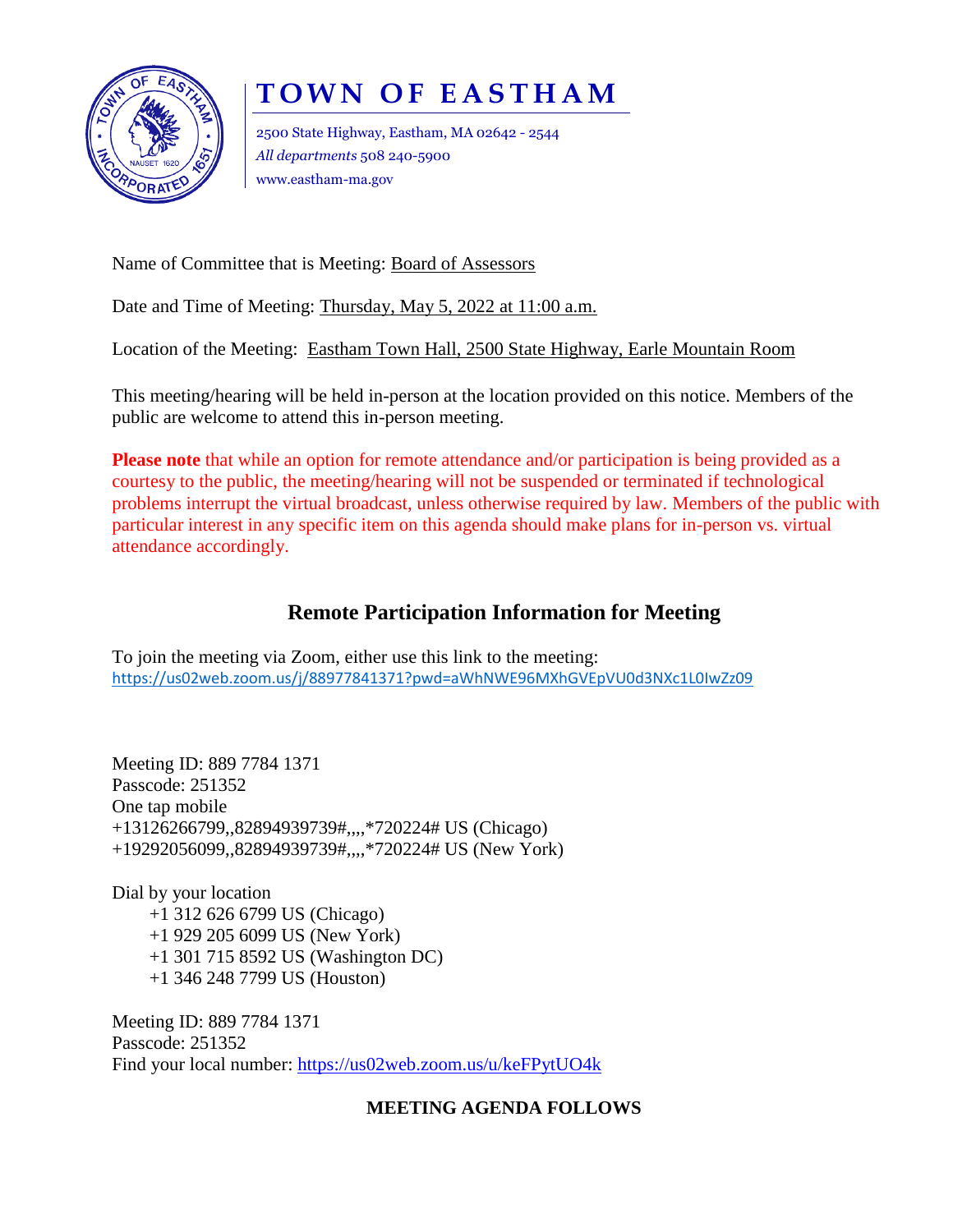

# **TOWN OF EASTHAM**

2500 State Highway, Eastham, MA 02642 - 2544 *All departments* 508 240-5900 www.eastham-ma.gov

Name of Committee that is Meeting: Board of Assessors

Date and Time of Meeting: Thursday, May 5, 2022 at 11:00 a.m.

Location of the Meeting: Eastham Town Hall, 2500 State Highway, Earle Mountain Room

This meeting/hearing will be held in-person at the location provided on this notice. Members of the public are welcome to attend this in-person meeting.

**Please note** that while an option for remote attendance and/or participation is being provided as a courtesy to the public, the meeting/hearing will not be suspended or terminated if technological problems interrupt the virtual broadcast, unless otherwise required by law. Members of the public with particular interest in any specific item on this agenda should make plans for in-person vs. virtual attendance accordingly.

## **Remote Participation Information for Meeting**

To join the meeting via Zoom, either use this link to the meeting: <https://us02web.zoom.us/j/88977841371?pwd=aWhNWE96MXhGVEpVU0d3NXc1L0IwZz09>

Meeting ID: 889 7784 1371 Passcode: 251352 One tap mobile +13126266799,,82894939739#,,,,\*720224# US (Chicago) +19292056099,,82894939739#,,,,\*720224# US (New York)

Dial by your location +1 312 626 6799 US (Chicago) +1 929 205 6099 US (New York) +1 301 715 8592 US (Washington DC) +1 346 248 7799 US (Houston)

Meeting ID: 889 7784 1371 Passcode: 251352 Find your local number:<https://us02web.zoom.us/u/keFPytUO4k>

### **MEETING AGENDA FOLLOWS**